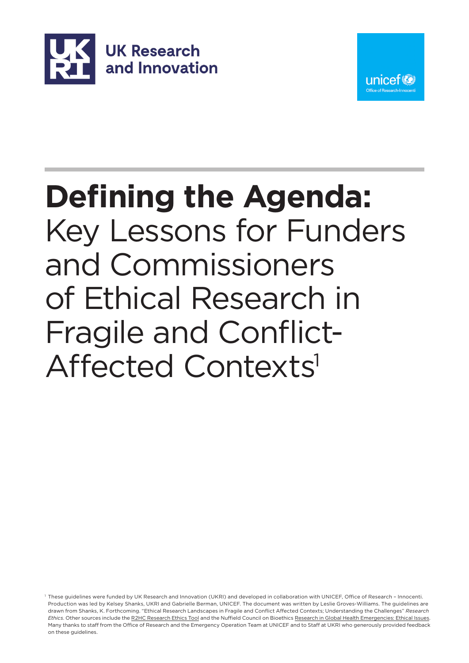



# **Defining the Agenda:** Key Lessons for Funders and Commissioners of Ethical Research in Fragile and Conflict-Affected Contexts<sup>1</sup>

1 These guidelines were funded by UK Research and Innovation (UKRI) and developed in collaboration with UNICEF, Office of Research – Innocenti. Production was led by Kelsey Shanks, UKRI and Gabrielle Berman, UNICEF. The document was written by Leslie Groves-Williams. The guidelines are drawn from Shanks, K. Forthcoming. "Ethical Research Landscapes in Fragile and Conflict Affected Contexts; Understanding the Challenges" *Research Ethics*. Other sources include th[e R2HC Research Ethics Tool](https://www.elrha.org/wp-content/uploads/2015/01/ELRHA-Interactive-Flipcards-F3.pdf) and the Nuffield Council on Bioethics [Research in Global Health Emergencies: Ethical Issues.](https://www.nuffieldbioethics.org/publications/research-in-global-health-emergencies)  Many thanks to staff from the Office of Research and the Emergency Operation Team at UNICEF and to Staff at UKRI who generously provided feedback on these guidelines.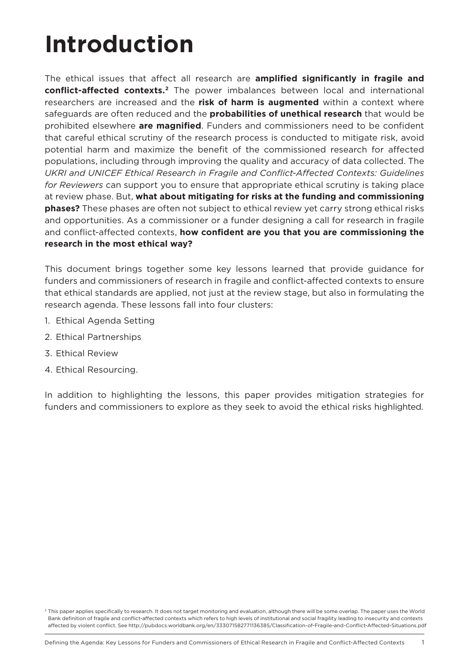## **Introduction**

The ethical issues that affect all research are **amplified significantly in fragile and conflict-affected contexts.2** The power imbalances between local and international researchers are increased and the **risk of harm is augmented** within a context where safeguards are often reduced and the **probabilities of unethical research** that would be prohibited elsewhere **are magnified**. Funders and commissioners need to be confident that careful ethical scrutiny of the research process is conducted to mitigate risk, avoid potential harm and maximize the benefit of the commissioned research for affected populations, including through improving the quality and accuracy of data collected. The *UKRI and UNICEF Ethical Research in Fragile and Conflict-Affected Contexts: Guidelines for Reviewers* can support you to ensure that appropriate ethical scrutiny is taking place at review phase. But, **what about mitigating for risks at the funding and commissioning phases?** These phases are often not subject to ethical review yet carry strong ethical risks and opportunities. As a commissioner or a funder designing a call for research in fragile and conflict-affected contexts, **how confident are you that you are commissioning the research in the most ethical way?**

This document brings together some key lessons learned that provide guidance for funders and commissioners of research in fragile and conflict-affected contexts to ensure that ethical standards are applied, not just at the review stage, but also in formulating the research agenda. These lessons fall into four clusters:

- 1. Ethical Agenda Setting
- 2. Ethical Partnerships
- 3. Ethical Review
- 4. Ethical Resourcing.

In addition to highlighting the lessons, this paper provides mitigation strategies for funders and commissioners to explore as they seek to avoid the ethical risks highlighted.

<sup>&</sup>lt;sup>2</sup> This paper applies specifically to research. It does not target monitoring and evaluation, although there will be some overlap. The paper uses the World Bank definition of fragile and conflict-affected contexts which refers to high levels of institutional and social fragility leading to insecurity and contexts affected by violent conflict. See http://pubdocs.worldbank.org/en/333071582771136385/Classification-of-Fragile-and-Conflict-Affected-Situations.pdf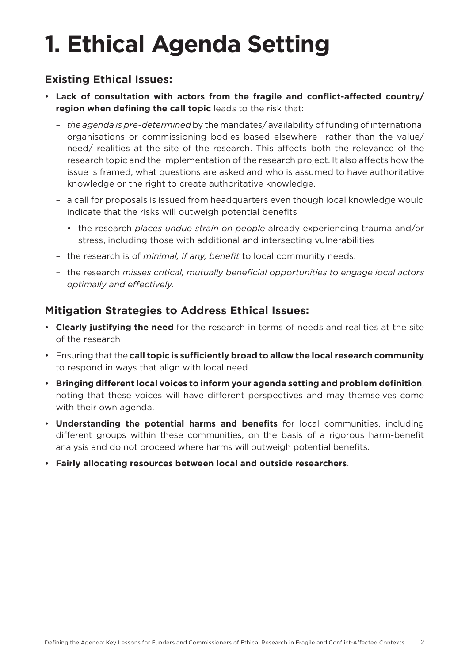# **1. Ethical Agenda Setting**

#### **Existing Ethical Issues:**

- **Lack of consultation with actors from the fragile and conflict-affected country/ region when defining the call topic** leads to the risk that:
	- *the agenda is pre-determined* by the mandates/ availability of funding of international organisations or commissioning bodies based elsewhere rather than the value/ need/ realities at the site of the research. This affects both the relevance of the research topic and the implementation of the research project. It also affects how the issue is framed, what questions are asked and who is assumed to have authoritative knowledge or the right to create authoritative knowledge.
	- a call for proposals is issued from headquarters even though local knowledge would indicate that the risks will outweigh potential benefits
		- the research *places undue strain on people* already experiencing trauma and/or stress, including those with additional and intersecting vulnerabilities
	- the research is of *minimal, if any, benefit* to local community needs.
	- the research *misses critical, mutually beneficial opportunities to engage local actors optimally and effectively*.

- **Clearly justifying the need** for the research in terms of needs and realities at the site of the research
- Ensuring that the **call topic is sufficiently broad to allow the local research community** to respond in ways that align with local need
- **Bringing different local voices to inform your agenda setting and problem definition**, noting that these voices will have different perspectives and may themselves come with their own agenda.
- **Understanding the potential harms and benefits** for local communities, including different groups within these communities, on the basis of a rigorous harm-benefit analysis and do not proceed where harms will outweigh potential benefits.
- **Fairly allocating resources between local and outside researchers**.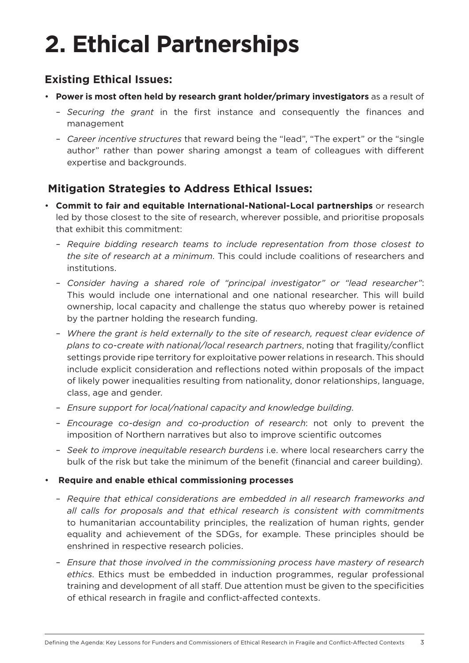## **2. Ethical Partnerships**

#### **Existing Ethical Issues:**

- **Power is most often held by research grant holder/primary investigators** as a result of
	- *Securing the grant* in the first instance and consequently the finances and management
	- *Career incentive structures* that reward being the "lead", "The expert" or the "single author" rather than power sharing amongst a team of colleagues with different expertise and backgrounds.

- **Commit to fair and equitable International-National-Local partnerships** or research led by those closest to the site of research, wherever possible, and prioritise proposals that exhibit this commitment:
	- *Require bidding research teams to include representation from those closest to the site of research at a minimum*. This could include coalitions of researchers and institutions.
	- *Consider having a shared role of "principal investigator" or "lead researcher"*: This would include one international and one national researcher. This will build ownership, local capacity and challenge the status quo whereby power is retained by the partner holding the research funding.
	- *Where the grant is held externally to the site of research, request clear evidence of plans to co-create with national/local research partners*, noting that fragility/conflict settings provide ripe territory for exploitative power relations in research. This should include explicit consideration and reflections noted within proposals of the impact of likely power inequalities resulting from nationality, donor relationships, language, class, age and gender.
	- *Ensure support for local/national capacity and knowledge building*.
	- *Encourage co-design and co-production of research*: not only to prevent the imposition of Northern narratives but also to improve scientific outcomes
	- *Seek to improve inequitable research burdens* i.e. where local researchers carry the bulk of the risk but take the minimum of the benefit (financial and career building).
- **Require and enable ethical commissioning processes**
	- *Require that ethical considerations are embedded in all research frameworks and all calls for proposals and that ethical research is consistent with commitments* to humanitarian accountability principles, the realization of human rights, gender equality and achievement of the SDGs, for example. These principles should be enshrined in respective research policies.
	- *Ensure that those involved in the commissioning process have mastery of research ethics*. Ethics must be embedded in induction programmes, regular professional training and development of all staff. Due attention must be given to the specificities of ethical research in fragile and conflict-affected contexts.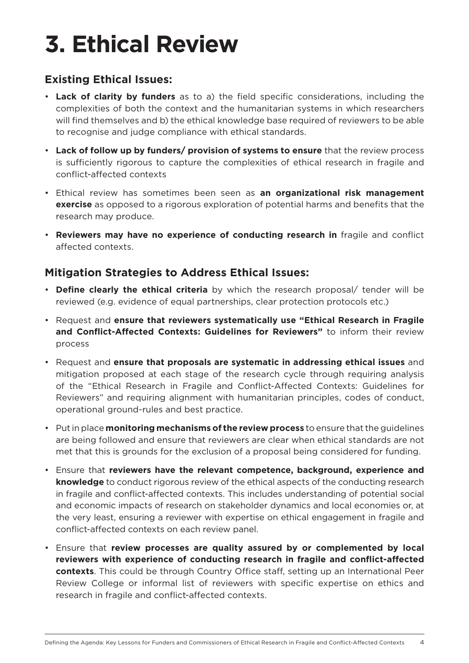# **3. Ethical Review**

#### **Existing Ethical Issues:**

- **Lack of clarity by funders** as to a) the field specific considerations, including the complexities of both the context and the humanitarian systems in which researchers will find themselves and b) the ethical knowledge base required of reviewers to be able to recognise and judge compliance with ethical standards.
- **Lack of follow up by funders/ provision of systems to ensure** that the review process is sufficiently rigorous to capture the complexities of ethical research in fragile and conflict-affected contexts
- Ethical review has sometimes been seen as **an organizational risk management exercise** as opposed to a rigorous exploration of potential harms and benefits that the research may produce.
- **Reviewers may have no experience of conducting research in** fragile and conflict affected contexts.

- **Define clearly the ethical criteria** by which the research proposal/ tender will be reviewed (e.g. evidence of equal partnerships, clear protection protocols etc.)
- Request and **ensure that reviewers systematically use "Ethical Research in Fragile and Conflict-Affected Contexts: Guidelines for Reviewers"** to inform their review process
- Request and **ensure that proposals are systematic in addressing ethical issues** and mitigation proposed at each stage of the research cycle through requiring analysis of the "Ethical Research in Fragile and Conflict-Affected Contexts: Guidelines for Reviewers" and requiring alignment with humanitarian principles, codes of conduct, operational ground-rules and best practice.
- Put in place **monitoring mechanisms of the review process** to ensure that the guidelines are being followed and ensure that reviewers are clear when ethical standards are not met that this is grounds for the exclusion of a proposal being considered for funding.
- Ensure that **reviewers have the relevant competence, background, experience and knowledge** to conduct rigorous review of the ethical aspects of the conducting research in fragile and conflict-affected contexts. This includes understanding of potential social and economic impacts of research on stakeholder dynamics and local economies or, at the very least, ensuring a reviewer with expertise on ethical engagement in fragile and conflict-affected contexts on each review panel.
- Ensure that **review processes are quality assured by or complemented by local reviewers with experience of conducting research in fragile and conflict-affected contexts**. This could be through Country Office staff, setting up an International Peer Review College or informal list of reviewers with specific expertise on ethics and research in fragile and conflict-affected contexts.